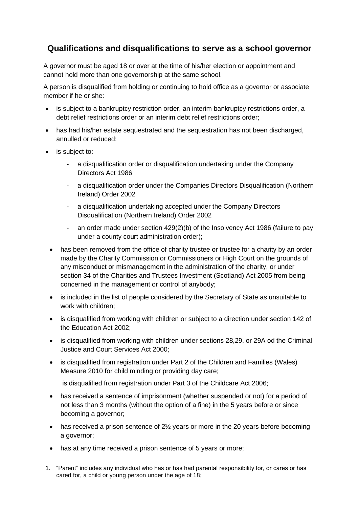## **Qualifications and disqualifications to serve as a school governor**

A governor must be aged 18 or over at the time of his/her election or appointment and cannot hold more than one governorship at the same school.

A person is disqualified from holding or continuing to hold office as a governor or associate member if he or she:

- is subject to a bankruptcy restriction order, an interim bankruptcy restrictions order, a debt relief restrictions order or an interim debt relief restrictions order;
- has had his/her estate sequestrated and the sequestration has not been discharged, annulled or reduced;
- is subject to:
	- a disqualification order or disqualification undertaking under the Company Directors Act 1986
	- a disqualification order under the Companies Directors Disqualification (Northern Ireland) Order 2002
	- a disqualification undertaking accepted under the Company Directors Disqualification (Northern Ireland) Order 2002
	- an order made under section 429(2)(b) of the Insolvency Act 1986 (failure to pay under a county court administration order);
	- has been removed from the office of charity trustee or trustee for a charity by an order made by the Charity Commission or Commissioners or High Court on the grounds of any misconduct or mismanagement in the administration of the charity, or under section 34 of the Charities and Trustees Investment (Scotland) Act 2005 from being concerned in the management or control of anybody;
	- is included in the list of people considered by the Secretary of State as unsuitable to work with children;
	- is disqualified from working with children or subject to a direction under section 142 of the Education Act 2002;
	- is disqualified from working with children under sections 28,29, or 29A od the Criminal Justice and Court Services Act 2000;
	- is disqualified from registration under Part 2 of the Children and Families (Wales) Measure 2010 for child minding or providing day care;

is disqualified from registration under Part 3 of the Childcare Act 2006;

- has received a sentence of imprisonment (whether suspended or not) for a period of not less than 3 months (without the option of a fine) in the 5 years before or since becoming a governor;
- $\bullet$  has received a prison sentence of 2 $\frac{1}{2}$  years or more in the 20 years before becoming a governor;
- has at any time received a prison sentence of 5 years or more;
- 1. "Parent" includes any individual who has or has had parental responsibility for, or cares or has cared for, a child or young person under the age of 18;